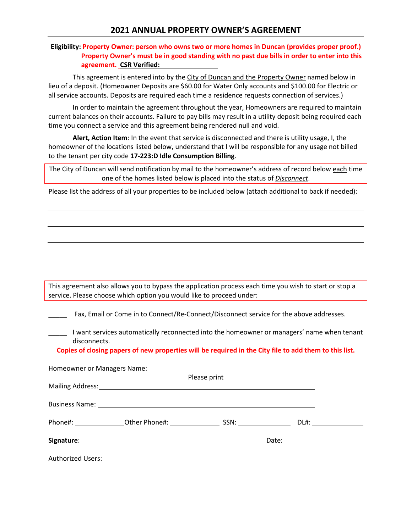## **2021 ANNUAL PROPERTY OWNER'S AGREEMENT**

## **Eligibility: Property Owner: person who owns two or more homes in Duncan (provides proper proof.) Property Owner's must be in good standing with no past due bills in order to enter into this agreement. CSR Verified:**

This agreement is entered into by the City of Duncan and the Property Owner named below in lieu of a deposit. (Homeowner Deposits are \$60.00 for Water Only accounts and \$100.00 for Electric or all service accounts. Deposits are required each time a residence requests connection of services.)

In order to maintain the agreement throughout the year, Homeowners are required to maintain current balances on their accounts. Failure to pay bills may result in a utility deposit being required each time you connect a service and this agreement being rendered null and void.

**Alert, Action Item**: In the event that service is disconnected and there is utility usage, I, the homeowner of the locations listed below, understand that I will be responsible for any usage not billed to the tenant per city code **17-223:D Idle Consumption Billing**.

The City of Duncan will send notification by mail to the homeowner's address of record below each time one of the homes listed below is placed into the status of *Disconnect*.

Please list the address of all your properties to be included below (attach additional to back if needed):

This agreement also allows you to bypass the application process each time you wish to start or stop a service. Please choose which option you would like to proceed under:

Fax, Email or Come in to Connect/Re-Connect/Disconnect service for the above addresses.

I want services automatically reconnected into the homeowner or managers' name when tenant disconnects.

**Copies of closing papers of new properties will be required in the City file to add them to this list.**

|  |  | Please print |                          |  |
|--|--|--------------|--------------------------|--|
|  |  |              |                          |  |
|  |  |              |                          |  |
|  |  |              |                          |  |
|  |  |              | DL#: _______________     |  |
|  |  |              |                          |  |
|  |  |              | Date: __________________ |  |
|  |  |              |                          |  |
|  |  |              |                          |  |
|  |  |              |                          |  |